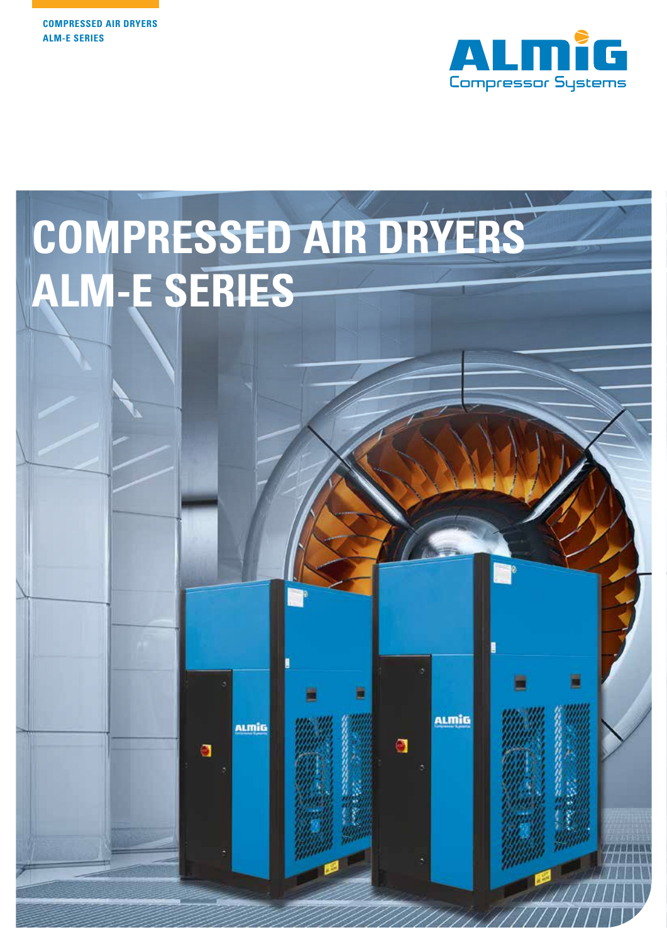

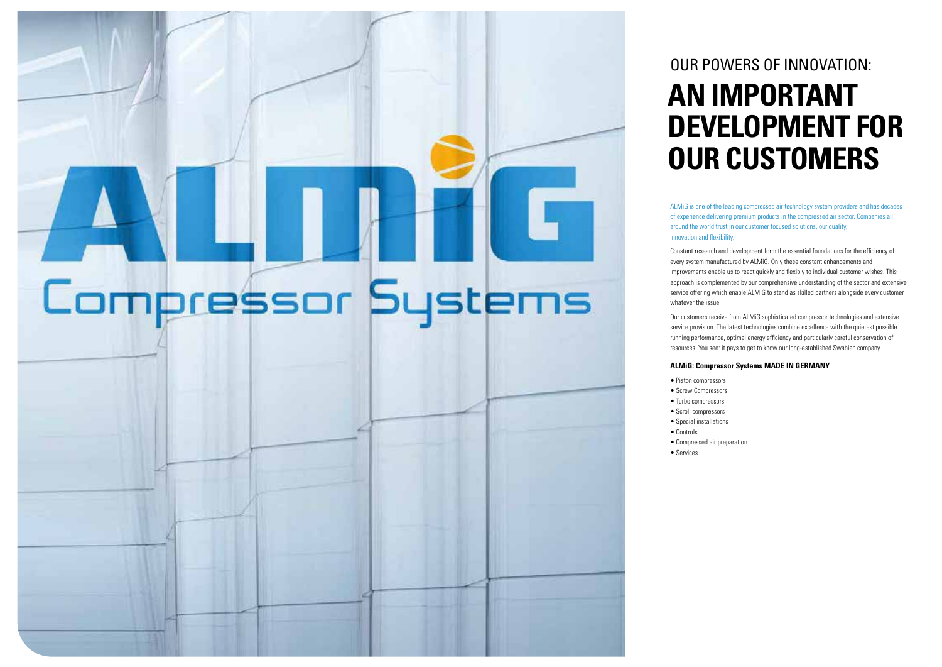# Compressor Systems

### **AN IMPORTANT DEVELOPMENT FOR OUR CUSTOMERS** OUR POWERS OF INNOVATION:

ALMiG is one of the leading compressed air technology system providers and has decades of experience delivering premium products in the compressed air sector. Companies all around the world trust in our customer focused solutions, our quality,

innovation and flexibility.

Constant research and development form the essential foundations for the efficiency of every system manufactured by ALMiG. Only these constant enhancements and improvements enable us to react quickly and flexibly to individual customer wishes. This approach is complemented by our comprehensive understanding of the sector and extensive service offering which enable ALMiG to stand as skilled partners alongside every customer

whatever the issue.

Our customers receive from ALMiG sophisticated compressor technologies and extensive service provision. The latest technologies combine excellence with the quietest possible running performance, optimal energy efficiency and particularly careful conservation of resources. You see: it pays to get to know our long-established Swabian company.

#### **ALMiG: Compressor Systems MADE IN GERMANY**

- 
- 
- 
- 
- 
- Piston compressors
- Screw Compressors
- Turbo compressors
- Scroll compressors • Special installations
- Controls
- 
- Services

• Compressed air preparation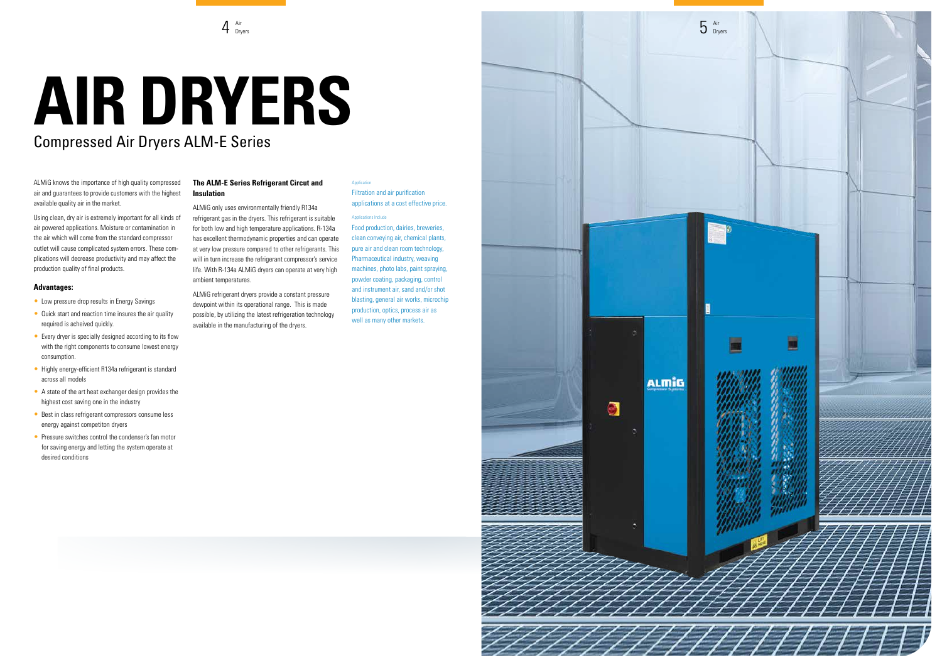Filtration and air purification applications at a cost effective price.

#### Applications Include

Food production, dairies, breweries, clean conveying air, chemical plants, pure air and clean room technology, Pharmaceutical industry, weaving machines, photo labs, paint spraying, powder coating, packaging, control and instrument air, sand and/or shot blasting, general air works, microchip production, optics, process air as well as many other markets.

**ALMIG** 

 $\bullet$ 



ALMiG knows the importance of high quality compressed air and guarantees to provide customers with the highest available quality air in the market.

Using clean, dry air is extremely important for all kinds of air powered applications. Moisture or contamination in the air which will come from the standard compressor outlet will cause complicated system errors. These complications will decrease productivity and may affect the production quality of final products.

#### **Advantages:**

- Low pressure drop results in Energy Savings
- Quick start and reaction time insures the air quality required is acheived quickly.
- Every dryer is specially designed according to its flow with the right components to consume lowest energy consumption.
- Highly energy-efficient R134a refrigerant is standard across all models
- A state of the art heat exchanger design provides the highest cost saving one in the industry
- Best in class refrigerant compressors consume less energy against competiton dryers
- Pressure switches control the condenser's fan motor for saving energy and letting the system operate at desired conditions

#### **The ALM-E Series Refrigerant Circut and Insulation**

ALMiG only uses environmentally friendly R134a refrigerant gas in the dryers. This refrigerant is suitable for both low and high temperature applications. R-134a has excellent thermodynamic properties and can operate at very low pressure compared to other refrigerants. This will in turn increase the refrigerant compressor's service life. With R-134a ALMiG dryers can operate at very high ambient temperatures.

ALMiG refrigerant dryers provide a constant pressure dewpoint within its operational range. This is made possible, by utilizing the latest refrigeration technology available in the manufacturing of the dryers.

#### Application

## **AIR DRYERS**  Compressed Air Dryers ALM-E Series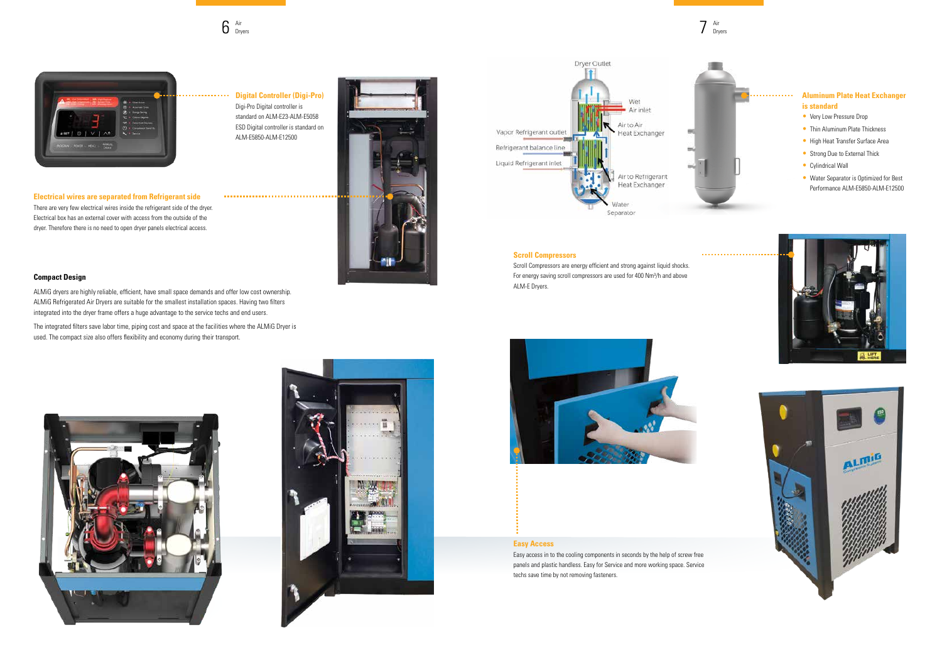#### **Compact Design**

ALMiG dryers are highly reliable, efficient, have small space demands and offer low cost ownership. ALMiG Refrigerated Air Dryers are suitable for the smallest installation spaces. Having two filters integrated into the dryer frame offers a huge advantage to the service techs and end users.

The integrated filters save labor time, piping cost and space at the facilities where the ALMiG Dryer is used. The compact size also offers flexibility and economy during their transport.







- Very Low Pressure Drop
- Thin Aluminum Plate Thickness
- High Heat Transfer Surface Area
- Strong Due to External Thick
- Cylindrical Wall
- Water Separator is Optimized for Best Performance ALM-E5850-ALM-E12500





#### **Digital Controller (Digi-Pro)** Digi-Pro Digital controller is standard on ALM-E23-ALM-E5058 ESD Digital controller is standard on ALM-E5850-ALM-E12500



#### **Aluminum Plate Heat Exchanger is standard**

Air Dryers  $6$   $\frac{\text{Air}}{\text{Dryers}}$   $\frac{\text{Air}}{\text{Dryers}}$ 



**Electrical wires are separated from Refrigerant side** There are very few electrical wires inside the refrigerant side of the dryer. Electrical box has an external cover with access from the outside of the dryer. Therefore there is no need to open dryer panels electrical access.

#### **Scroll Compressors**

Scroll Compressors are energy efficient and strong against liquid shocks. For energy saving scroll compressors are used for 400 Nm<sup>3</sup>/h and above ALM-E Dryers.



#### **Easy Access**

Easy access in to the cooling components in seconds by the help of screw free panels and plastic handless. Easy for Service and more working space. Service techs save time by not removing fasteners.

# . . . . . . . . . . . . .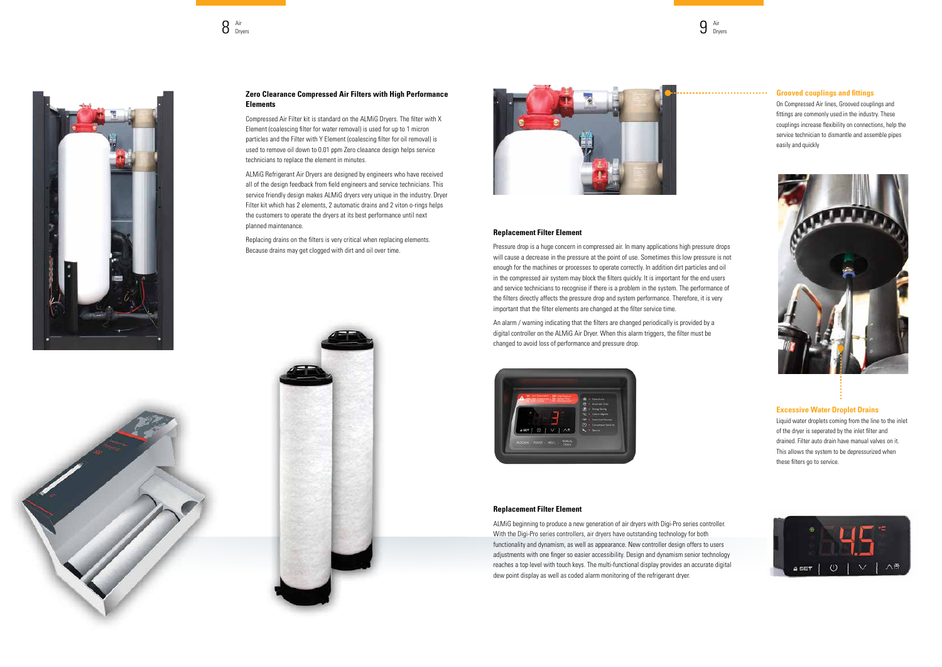#### **Grooved couplings and fittings**

On Compressed Air lines, Grooved couplings and fittings are commonly used in the industry. These couplings increase flexibility on connections, help the service technician to dismantle and assemble pipes easily and quickly



#### **Excessive Water Droplet Drains**

Liquid water droplets coming from the line to the inlet of the dryer is seperated by the inlet filter and drained. Filter auto drain have manual valves on it. This allows the system to be depressurized when these filters go to service.



#### **Zero Clearance Compressed Air Filters with High Performance Elements**

Compressed Air Filter kit is standard on the ALMiG Dryers. The filter with X Element (coalescing filter for water removal) is used for up to 1 micron particles and the Filter with Y Element (coalescing filter for oil removal) is used to remove oil down to 0.01 ppm Zero cleaance design helps service technicians to replace the element in minutes.

ALMiG Refrigerant Air Dryers are designed by engineers who have received all of the design feedback from field engineers and service technicians. This service friendly design makes ALMiG dryers very unique in the industry. Dryer Filter kit which has 2 elements, 2 automatic drains and 2 viton o-rings helps the customers to operate the dryers at its best performance until next planned maintenance.

Replacing drains on the filters is very critical when replacing elements. Because drains may get clogged with dirt and oil over time.



Air Dryers  $8$   $\frac{\text{Air}}{\text{Dryers}}$   $9$   $\frac{\text{Air}}{\text{Dryers}}$ 



#### **Replacement Filter Element**

Pressure drop is a huge concern in compressed air. In many applications high pressure drops will cause a decrease in the pressure at the point of use. Sometimes this low pressure is not enough for the machines or processes to operate correctly. In addition dirt particles and oil in the compressed air system may block the filters quickly. It is important for the end users and service technicians to recognise if there is a problem in the system. The performance of the filters directly affects the pressure drop and system performance. Therefore, it is very important that the filter elements are changed at the filter service time.

An alarm / warning indicating that the filters are changed periodically is provided by a digital controller on the ALMiG Air Dryer. When this alarm triggers, the filter must be changed to avoid loss of performance and pressure drop.



#### **Replacement Filter Element**

ALMiG beginning to produce a new generation of air dryers with Digi-Pro series controller. With the Digi-Pro series controllers, air dryers have outstanding technology for both functionality and dynamism, as well as appearance. New controller design offers to users adjustments with one finger so easier accessibility. Design and dynamism senior technology reaches a top level with touch keys. The multi-functional display provides an accurate digital dew point display as well as coded alarm monitoring of the refrigerant dryer.



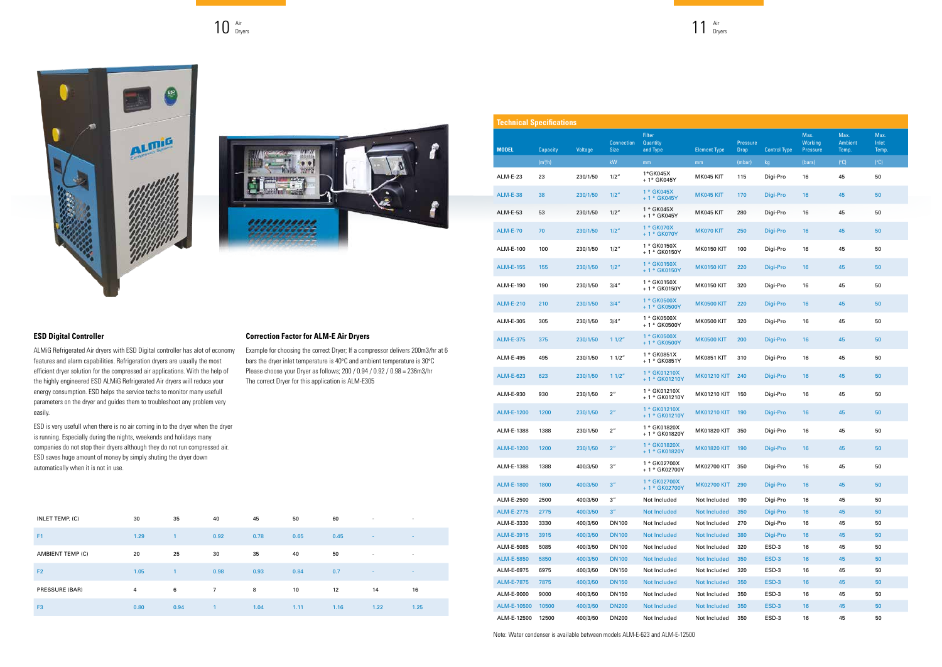| INLET TEMP. (C)         | 30   | 35             | 40           | 45   | 50   | 60   | $\overline{\phantom{a}}$ | $\overline{\phantom{a}}$ |
|-------------------------|------|----------------|--------------|------|------|------|--------------------------|--------------------------|
| F1                      | 1.29 | $\overline{1}$ | 0.92         | 0.78 | 0.65 | 0.45 | $\sim$                   | $\sim$                   |
| <b>AMBIENT TEMP (C)</b> | 20   | 25             | 30           | 35   | 40   | 50   | ٠                        | $\overline{\phantom{a}}$ |
| F <sub>2</sub>          | 1.05 | $\overline{1}$ | 0.98         | 0.93 | 0.84 | 0.7  | $\sim$                   | $\sim$                   |
| PRESSURE (BAR)          | 4    | 6              | $7^{\circ}$  | 8    | 10   | 12   | 14                       | 16                       |
| F <sub>3</sub>          | 0.80 | 0.94           | $\mathbf{1}$ | 1.04 | 1.11 | 1.16 | 1.22                     | 1.25                     |

#### **ESD Digital Controller**

ALMiG Refrigerated Air dryers with ESD Digital controller has alot of economy features and alarm capabilities. Refrigeration dryers are usually the most efficient dryer solution for the compressed air applications. With the help of the highly engineered ESD ALMiG Refrigerated Air dryers will reduce your energy consumption. ESD helps the service techs to monitor many usefull parameters on the dryer and guides them to troubleshoot any problem very easily.

ESD is very usefull when there is no air coming in to the dryer when the dryer is running. Especially during the nights, weekends and holidays many companies do not stop their dryers although they do not run compressed air. ESD saves huge amount of money by simply shuting the dryer down automatically when it is not in use.

#### **Correction Factor for ALM-E Air Dryers**

Example for choosing the correct Dryer; If a compressor delivers 200m3/hr at 6 bars the dryer inlet temperature is 40°C and ambient temperature is 30°C Please choose your Dryer as follows; 200 / 0.94 / 0.92 / 0.98 = 236m3/hr The correct Dryer for this application is ALM-E305

Air Dryers  $10$   $\frac{Air}{Dryers}$   $11$   $\frac{Air}{Dryers}$ 



| <b>Technical Specifications</b> |           |          |                                  |                                              |                     |                         |                     |                                    |                                 |                        |
|---------------------------------|-----------|----------|----------------------------------|----------------------------------------------|---------------------|-------------------------|---------------------|------------------------------------|---------------------------------|------------------------|
| <b>MODEL</b>                    | Capacity  | Voltage  | <b>Connection</b><br><b>Size</b> | <b>Filter</b><br><b>Quantity</b><br>and Type | <b>Element Type</b> | Pressure<br><b>Drop</b> | <b>Control Type</b> | Max.<br>Working<br><b>Pressure</b> | Max.<br><b>Ambient</b><br>Temp. | Max.<br>Inlet<br>Temp. |
|                                 | $(m^3/h)$ |          | kW                               | mm                                           | mm                  | (mbar)                  | kg                  | (bars)                             | (C)                             | (C)                    |
| <b>ALM-E-23</b>                 | 23        | 230/1/50 | 1/2''                            | 1*GK045X<br>+ 1* GK045Y                      | MK045 KIT           | 115                     | Digi-Pro            | 16                                 | 45                              | 50                     |
| <b>ALM-E-38</b>                 | 38        | 230/1/50 | 1/2''                            | 1 * GK045X<br>$+1*$ GK045Y                   | MK045 KIT           | 170                     | Digi-Pro            | 16                                 | 45                              | 50                     |
| <b>ALM-E-53</b>                 | 53        | 230/1/50 | 1/2''                            | 1 * GK045X<br>$+1*$ GK045Y                   | MK045 KIT           | 280                     | Digi-Pro            | 16                                 | 45                              | 50                     |
| <b>ALM-E-70</b>                 | 70        | 230/1/50 | 1/2"                             | 1 * GK070X<br>+ 1 * GK070Y                   | MK070 KIT           | 250                     | Digi-Pro            | 16                                 | 45                              | 50                     |
| ALM-E-100                       | 100       | 230/1/50 | 1/2"                             | 1 * GK0150X<br>+ 1 * GK0150Y                 | <b>MK0150 KIT</b>   | 100                     | Digi-Pro            | 16                                 | 45                              | 50                     |
| <b>ALM-E-155</b>                | 155       | 230/1/50 | 1/2''                            | 1 * GK0150X<br>+1 * GK0150Y                  | <b>MK0150 KIT</b>   | 220                     | Digi-Pro            | 16                                 | 45                              | 50                     |
| ALM-E-190                       | 190       | 230/1/50 | 3/4''                            | 1 * GK0150X<br>+ 1 * GK0150Y                 | <b>MK0150 KIT</b>   | 320                     | Digi-Pro            | 16                                 | 45                              | 50                     |
| <b>ALM-E-210</b>                | 210       | 230/1/50 | 3/4''                            | 1 * GK0500X<br>+ 1 * GK0500Y                 | <b>MK0500 KIT</b>   | 220                     | Digi-Pro            | 16                                 | 45                              | 50                     |
| ALM-E-305                       | 305       | 230/1/50 | 3/4''                            | 1 * GK0500X<br>+ 1 * GK0500Y                 | <b>MK0500 KIT</b>   | 320                     | Digi-Pro            | 16                                 | 45                              | 50                     |
| <b>ALM-E-375</b>                | 375       | 230/1/50 | 11/2"                            | 1 * GK0500X<br>+ 1 * GK0500Y                 | <b>MK0500 KIT</b>   | 200                     | Digi-Pro            | 16                                 | 45                              | 50                     |
| ALM-E-495                       | 495       | 230/1/50 | 11/2"                            | 1 * GK0851X<br>+ 1 * GK0851Y                 | <b>MK0851 KIT</b>   | 310                     | Digi-Pro            | 16                                 | 45                              | 50                     |
| <b>ALM-E-623</b>                | 623       | 230/1/50 | 11/2"                            | 1 * GK01210X<br>+ 1 * GK01210Y               | <b>MK01210 KIT</b>  | 240                     | Digi-Pro            | 16                                 | 45                              | 50                     |
| ALM-E-930                       | 930       | 230/1/50 | $2^{\prime\prime}$               | 1 * GK01210X<br>+ 1 * GK01210Y               | <b>MK01210 KIT</b>  | 150                     | Digi-Pro            | 16                                 | 45                              | 50                     |
| <b>ALM-E-1200</b>               | 1200      | 230/1/50 | 2 <sup>n</sup>                   | 1 * GK01210X<br>+ 1 * GK01210Y               | <b>MK01210 KIT</b>  | 190                     | Digi-Pro            | 16                                 | 45                              | 50                     |
| ALM-E-1388                      | 1388      | 230/1/50 | 2 <sup>''</sup>                  | 1 * GK01820X<br>+ 1 * GK01820Y               | <b>MK01820 KIT</b>  | 350                     | Digi-Pro            | 16                                 | 45                              | 50                     |
| <b>ALM-E-1200</b>               | 1200      | 230/1/50 | 2 <sup>n</sup>                   | 1 * GK01820X<br>+ 1 * GK01820Y               | <b>MK01820 KIT</b>  | 190                     | Digi-Pro            | 16                                 | 45                              | 50                     |
| ALM-E-1388                      | 1388      | 400/3/50 | $3^{\prime\prime}$               | 1 * GK02700X<br>+ 1 * GK02700Y               | <b>MK02700 KIT</b>  | 350                     | Digi-Pro            | 16                                 | 45                              | 50                     |
| <b>ALM-E-1800</b>               | 1800      | 400/3/50 | 3''                              | 1 * GK02700X<br>+ 1 * GK02700Y               | <b>MK02700 KIT</b>  | 290                     | Digi-Pro            | 16                                 | 45                              | 50                     |
| ALM-E-2500                      | 2500      | 400/3/50 | 3''                              | Not Included                                 | Not Included        | 190                     | Digi-Pro            | 16                                 | 45                              | 50                     |
| <b>ALM-E-2775</b>               | 2775      | 400/3/50 | 3 <sup>''</sup>                  | <b>Not Included</b>                          | <b>Not Included</b> | 350                     | Digi-Pro            | 16                                 | 45                              | 50                     |
| ALM-E-3330                      | 3330      | 400/3/50 | <b>DN100</b>                     | Not Included                                 | Not Included        | 270                     | Digi-Pro            | 16                                 | 45                              | 50                     |
| ALM-E-3915                      | 3915      | 400/3/50 | <b>DN100</b>                     | <b>Not Included</b>                          | <b>Not Included</b> | 380                     | Digi-Pro            | 16                                 | 45                              | 50                     |
| ALM-E-5085                      | 5085      | 400/3/50 | <b>DN100</b>                     | Not Included                                 | Not Included        | 320                     | ESD-3               | 16                                 | 45                              | 50                     |
| <b>ALM-E-5850</b>               | 5850      | 400/3/50 | <b>DN100</b>                     | <b>Not Included</b>                          | <b>Not Included</b> | 350                     | ESD-3               | 16                                 | 45                              | 50                     |
| ALM-E-6975                      | 6975      | 400/3/50 | DN150                            | Not Included                                 | Not Included        | 320                     | ESD-3               | 16                                 | 45                              | 50                     |
| <b>ALM-E-7875</b>               | 7875      | 400/3/50 | <b>DN150</b>                     | <b>Not Included</b>                          | <b>Not Included</b> | 350                     | ESD-3               | 16                                 | 45                              | 50                     |
| ALM-E-9000                      | 9000      | 400/3/50 | DN150                            | Not Included                                 | Not Included        | 350                     | ESD-3               | 16                                 | 45                              | 50                     |
| ALM-E-10500                     | 10500     | 400/3/50 | <b>DN200</b>                     | <b>Not Included</b>                          | <b>Not Included</b> | 350                     | ESD-3               | 16                                 | 45                              | 50                     |
| ALM-E-12500                     | 12500     | 400/3/50 | <b>DN200</b>                     | Not Included                                 | Not Included        | 350                     | ESD-3               | 16                                 | 45                              | 50                     |